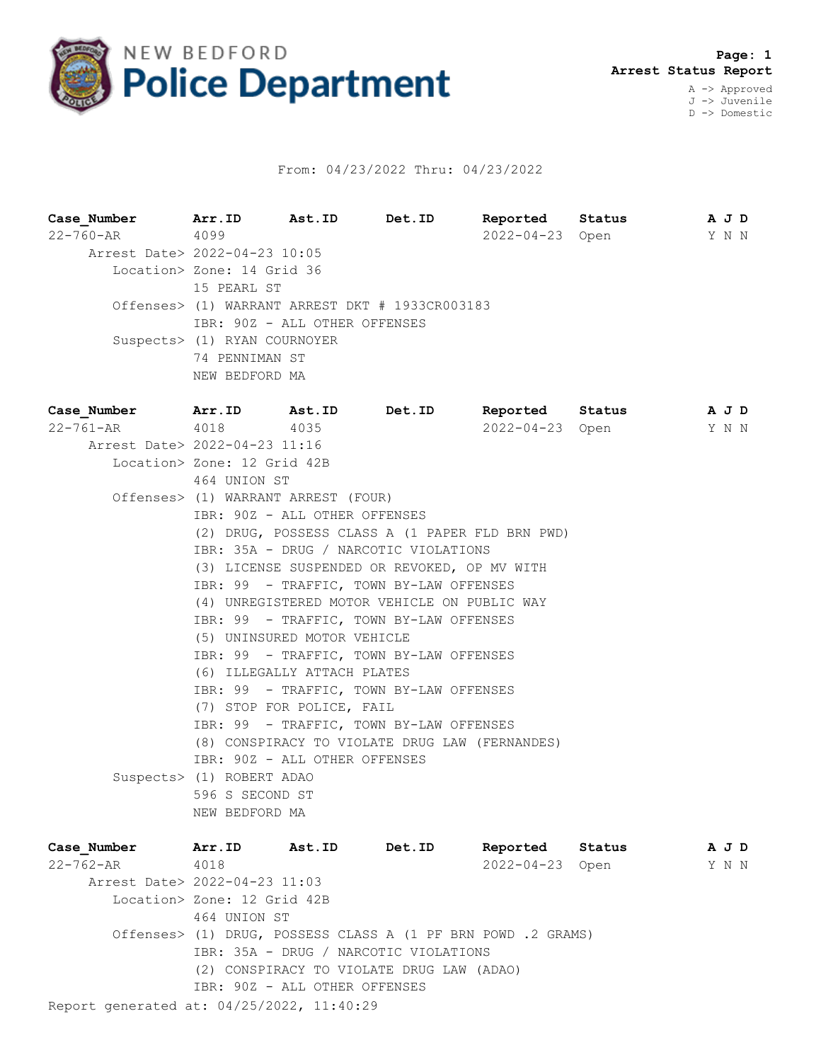

## From: 04/23/2022 Thru: 04/23/2022

| Case_Number    Arr.ID    Ast.ID    Det.ID |                                                                                           |      |                                                 | Reported Status |                       | A J D |  |  |  |
|-------------------------------------------|-------------------------------------------------------------------------------------------|------|-------------------------------------------------|-----------------|-----------------------|-------|--|--|--|
| $22 - 760 - AR$                           | 4099                                                                                      |      |                                                 |                 | 2022-04-23 Open       | Y N N |  |  |  |
| Arrest Date> 2022-04-23 10:05             |                                                                                           |      |                                                 |                 |                       |       |  |  |  |
|                                           | Location> Zone: 14 Grid 36                                                                |      |                                                 |                 |                       |       |  |  |  |
|                                           | 15 PEARL ST                                                                               |      |                                                 |                 |                       |       |  |  |  |
|                                           |                                                                                           |      | Offenses> (1) WARRANT ARREST DKT # 1933CR003183 |                 |                       |       |  |  |  |
|                                           | IBR: 90Z - ALL OTHER OFFENSES                                                             |      |                                                 |                 |                       |       |  |  |  |
|                                           | Suspects> (1) RYAN COURNOYER                                                              |      |                                                 |                 |                       |       |  |  |  |
|                                           | 74 PENNIMAN ST<br>NEW BEDFORD MA                                                          |      |                                                 |                 |                       |       |  |  |  |
| Case Number Arr. ID Ast. ID Det. ID       |                                                                                           |      |                                                 | Reported Status |                       | AJD   |  |  |  |
| 22-761-AR                                 | 4018                                                                                      | 4035 |                                                 | 2022-04-23 Open |                       | Y N N |  |  |  |
| Arrest Date> 2022-04-23 11:16             |                                                                                           |      |                                                 |                 |                       |       |  |  |  |
|                                           | Location> Zone: 12 Grid 42B                                                               |      |                                                 |                 |                       |       |  |  |  |
|                                           | 464 UNION ST                                                                              |      |                                                 |                 |                       |       |  |  |  |
|                                           | Offenses> (1) WARRANT ARREST (FOUR)                                                       |      |                                                 |                 |                       |       |  |  |  |
|                                           | IBR: 90Z - ALL OTHER OFFENSES                                                             |      |                                                 |                 |                       |       |  |  |  |
|                                           | (2) DRUG, POSSESS CLASS A (1 PAPER FLD BRN PWD)                                           |      |                                                 |                 |                       |       |  |  |  |
|                                           | IBR: 35A - DRUG / NARCOTIC VIOLATIONS                                                     |      |                                                 |                 |                       |       |  |  |  |
|                                           | (3) LICENSE SUSPENDED OR REVOKED, OP MV WITH                                              |      |                                                 |                 |                       |       |  |  |  |
|                                           | IBR: 99 - TRAFFIC, TOWN BY-LAW OFFENSES                                                   |      |                                                 |                 |                       |       |  |  |  |
|                                           | (4) UNREGISTERED MOTOR VEHICLE ON PUBLIC WAY                                              |      |                                                 |                 |                       |       |  |  |  |
|                                           | IBR: 99 - TRAFFIC, TOWN BY-LAW OFFENSES                                                   |      |                                                 |                 |                       |       |  |  |  |
|                                           | (5) UNINSURED MOTOR VEHICLE                                                               |      |                                                 |                 |                       |       |  |  |  |
|                                           | IBR: 99 - TRAFFIC, TOWN BY-LAW OFFENSES                                                   |      |                                                 |                 |                       |       |  |  |  |
|                                           | (6) ILLEGALLY ATTACH PLATES                                                               |      |                                                 |                 |                       |       |  |  |  |
|                                           | IBR: 99 - TRAFFIC, TOWN BY-LAW OFFENSES                                                   |      |                                                 |                 |                       |       |  |  |  |
|                                           | (7) STOP FOR POLICE, FAIL                                                                 |      |                                                 |                 |                       |       |  |  |  |
|                                           | IBR: 99 - TRAFFIC, TOWN BY-LAW OFFENSES<br>(8) CONSPIRACY TO VIOLATE DRUG LAW (FERNANDES) |      |                                                 |                 |                       |       |  |  |  |
|                                           | IBR: 90Z - ALL OTHER OFFENSES                                                             |      |                                                 |                 |                       |       |  |  |  |
|                                           | Suspects> (1) ROBERT ADAO                                                                 |      |                                                 |                 |                       |       |  |  |  |
|                                           | 596 S SECOND ST                                                                           |      |                                                 |                 |                       |       |  |  |  |
|                                           | NEW BEDFORD MA                                                                            |      |                                                 |                 |                       |       |  |  |  |
| Case Number                               | Arr.ID Ast.ID Det.ID                                                                      |      |                                                 | Reported Status |                       | A J D |  |  |  |
| $22 - 762 - 10$                           | $\bigwedge$ 0.1.8                                                                         |      |                                                 |                 | $2022 - 01 - 23$ Open | VNN   |  |  |  |

Report generated at: 04/25/2022, 11:40:29 22-762-AR 4018 2022-04-23 Open Y N N Arrest Date> 2022-04-23 11:03 Location> Zone: 12 Grid 42B 464 UNION ST Offenses> (1) DRUG, POSSESS CLASS A (1 PF BRN POWD .2 GRAMS) IBR: 35A - DRUG / NARCOTIC VIOLATIONS (2) CONSPIRACY TO VIOLATE DRUG LAW (ADAO) IBR: 90Z - ALL OTHER OFFENSES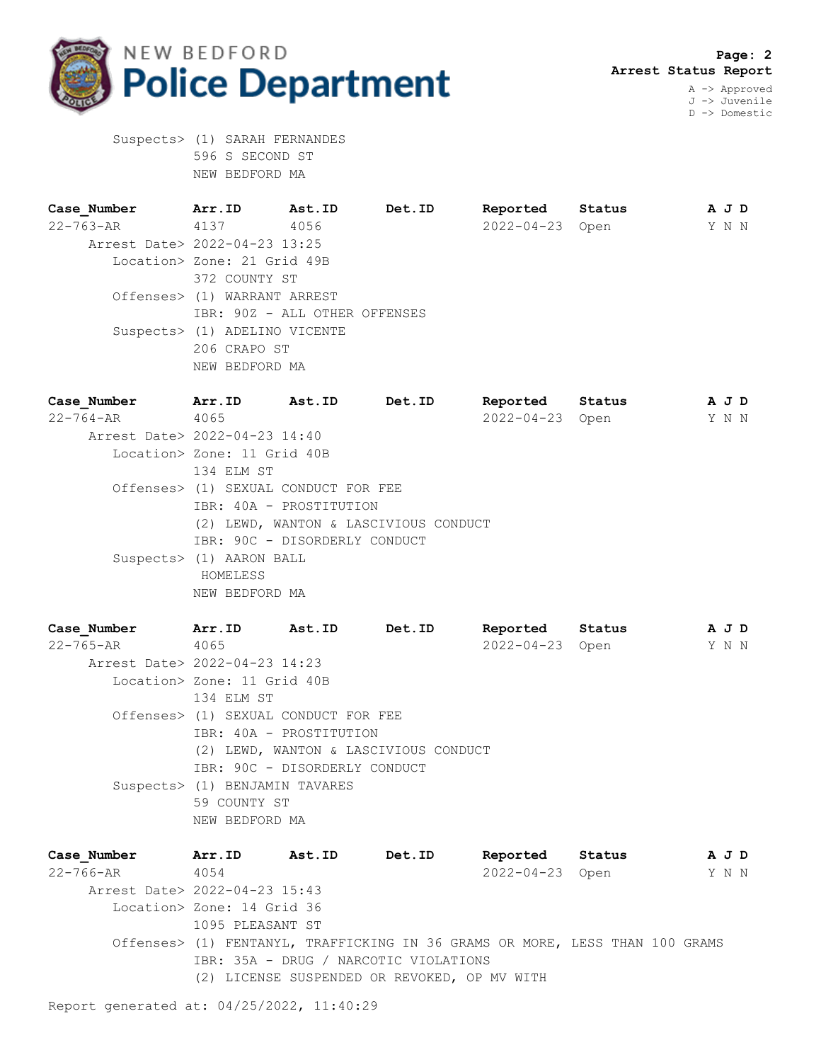

 **Page: 2 Arrest Status Report** A -> Approved

J -> Juvenile D -> Domestic

 Suspects> (1) SARAH FERNANDES 596 S SECOND ST NEW BEDFORD MA

**Case\_Number Arr.ID Ast.ID Det.ID Reported Status A J D** 22-763-AR 4137 4056 2022-04-23 Open Y N N Arrest Date> 2022-04-23 13:25 Location> Zone: 21 Grid 49B 372 COUNTY ST Offenses> (1) WARRANT ARREST IBR: 90Z - ALL OTHER OFFENSES Suspects> (1) ADELINO VICENTE 206 CRAPO ST NEW BEDFORD MA

**Case\_Number Arr.ID Ast.ID Det.ID Reported Status A J D** 22-764-AR 4065 2022-04-23 Open Y N N Arrest Date> 2022-04-23 14:40 Location> Zone: 11 Grid 40B 134 ELM ST Offenses> (1) SEXUAL CONDUCT FOR FEE IBR: 40A - PROSTITUTION (2) LEWD, WANTON & LASCIVIOUS CONDUCT IBR: 90C - DISORDERLY CONDUCT Suspects> (1) AARON BALL HOMELESS NEW BEDFORD MA

**Case\_Number Arr.ID Ast.ID Det.ID Reported Status A J D** 22-765-AR 4065 2022-04-23 Open Y N N Arrest Date> 2022-04-23 14:23 Location> Zone: 11 Grid 40B 134 ELM ST Offenses> (1) SEXUAL CONDUCT FOR FEE IBR: 40A - PROSTITUTION (2) LEWD, WANTON & LASCIVIOUS CONDUCT IBR: 90C - DISORDERLY CONDUCT Suspects> (1) BENJAMIN TAVARES 59 COUNTY ST NEW BEDFORD MA

**Case\_Number Arr.ID Ast.ID Det.ID Reported Status A J D** 22-766-AR 4054 2022-04-23 Open Y N N Arrest Date> 2022-04-23 15:43 Location> Zone: 14 Grid 36 1095 PLEASANT ST Offenses> (1) FENTANYL, TRAFFICKING IN 36 GRAMS OR MORE, LESS THAN 100 GRAMS IBR: 35A - DRUG / NARCOTIC VIOLATIONS (2) LICENSE SUSPENDED OR REVOKED, OP MV WITH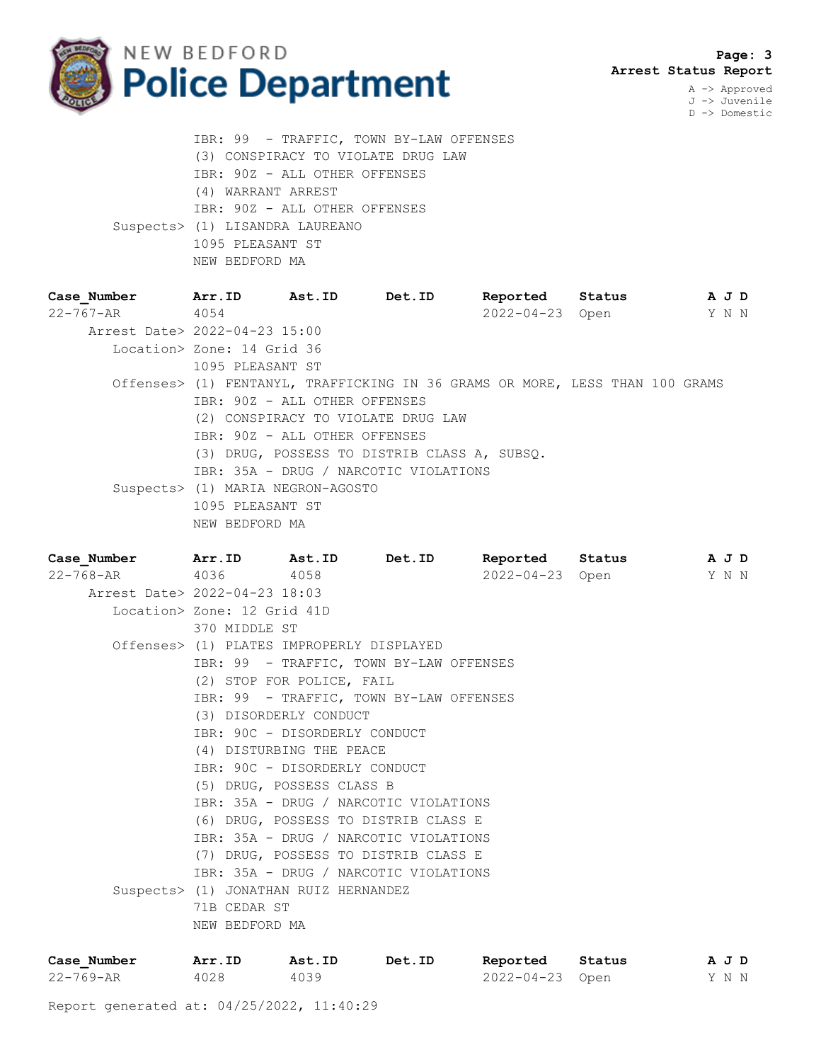

 **Page: 3 Arrest Status Report**

A -> Approved J -> Juvenile D -> Domestic

 IBR: 99 - TRAFFIC, TOWN BY-LAW OFFENSES (3) CONSPIRACY TO VIOLATE DRUG LAW IBR: 90Z - ALL OTHER OFFENSES (4) WARRANT ARREST IBR: 90Z - ALL OTHER OFFENSES Suspects> (1) LISANDRA LAUREANO 1095 PLEASANT ST NEW BEDFORD MA

**Case\_Number Arr.ID Ast.ID Det.ID Reported Status A J D** 22-767-AR 4054 2022-04-23 Open Y N N Arrest Date> 2022-04-23 15:00 Location> Zone: 14 Grid 36 1095 PLEASANT ST Offenses> (1) FENTANYL, TRAFFICKING IN 36 GRAMS OR MORE, LESS THAN 100 GRAMS IBR: 90Z - ALL OTHER OFFENSES (2) CONSPIRACY TO VIOLATE DRUG LAW IBR: 90Z - ALL OTHER OFFENSES (3) DRUG, POSSESS TO DISTRIB CLASS A, SUBSQ. IBR: 35A - DRUG / NARCOTIC VIOLATIONS Suspects> (1) MARIA NEGRON-AGOSTO 1095 PLEASANT ST NEW BEDFORD MA

**Case\_Number Arr.ID Ast.ID Det.ID Reported Status A J D** 22-768-AR 4036 4058 2022-04-23 Open Y N N Arrest Date> 2022-04-23 18:03 Location> Zone: 12 Grid 41D 370 MIDDLE ST Offenses> (1) PLATES IMPROPERLY DISPLAYED IBR: 99 - TRAFFIC, TOWN BY-LAW OFFENSES (2) STOP FOR POLICE, FAIL IBR: 99 - TRAFFIC, TOWN BY-LAW OFFENSES (3) DISORDERLY CONDUCT IBR: 90C - DISORDERLY CONDUCT (4) DISTURBING THE PEACE IBR: 90C - DISORDERLY CONDUCT (5) DRUG, POSSESS CLASS B IBR: 35A - DRUG / NARCOTIC VIOLATIONS (6) DRUG, POSSESS TO DISTRIB CLASS E IBR: 35A - DRUG / NARCOTIC VIOLATIONS (7) DRUG, POSSESS TO DISTRIB CLASS E IBR: 35A - DRUG / NARCOTIC VIOLATIONS Suspects> (1) JONATHAN RUIZ HERNANDEZ 71B CEDAR ST NEW BEDFORD MA

| Case Number     | Arr.ID | Ast.ID | Det.ID | Reported Status | AJD   |  |  |
|-----------------|--------|--------|--------|-----------------|-------|--|--|
| $22 - 769 - AR$ | 4028   | 4039   |        | 2022-04-23 Open | Y N N |  |  |